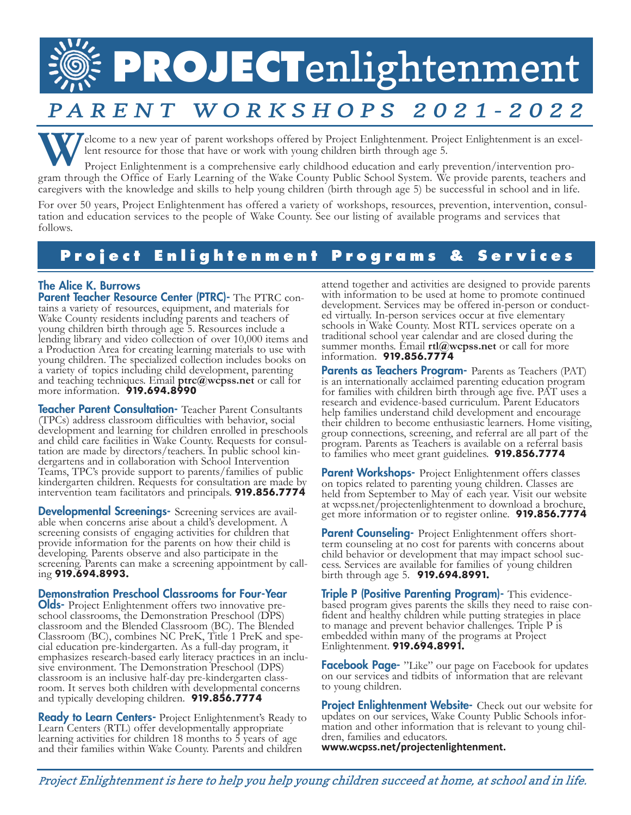# **PROJECT**enlightenment

## PARENT WORKSHOPS 2021-2022

Elcome to a new year of parent workshops offered by Project Enlightenment. Project Enlightenment is an excellent resource for those that have or work with young children birth through age 5.<br>Project Enlightenment is a comp lent resource for those that have or work with young children birth through age 5.

gram through the Office of Early Learning of the Wake County Public School System. We provide parents, teachers and caregivers with the knowledge and skills to help young children (birth through age 5) be successful in school and in life.

For over 50 years, Project Enlightenment has offered a variety of workshops, resources, prevention, intervention, consultation and education services to the people of Wake County. See our listing of available programs and follows.

## **Project Enlightenment Programs & Services**

**The Alice K. Burrows<br>Parent Teacher Resource Center (PTRC)-** The PTRC contains a variety of resources, equipment, and materials for Wake County residents including parents and teachers of young children birth through age 5. Resources include a lending library and video collection of over 10,000 items and a Production Area for creating learning materials to use with young children. The specialized collection includes books on a variety of topics including child development, parenting and teaching techniques. Email **ptrc@wcpss.net** or call for more information. **919.694.8990**

**Teacher Parent Consultation-** Teacher Parent Consultants (TPCs) address classroom difficulties with behavior, social development and learning for children enrolled in preschools and child care facilities in Wake County. Requests for consultation are made by directors/teachers. In public school kin-<br>dergartens and in collaboration with School Intervention Teams, TPC's provide support to parents/families of public kindergarten children. Requests for consultation are made by intervention team facilitators and principals. **919.856.7774** 

**Developmental Screenings-** Screening services are available when concerns arise about a child's development. A screening consists of engaging activities for children that provide information for the parents on how their child is developing. Parents observe and also participate in the screening. Parents can make a screening appointment by call- ing **919.694.8993.**

#### Demonstration Preschool Classrooms for Four-Year

**Olds-** Project Enlightenment offers two innovative pre-<br>school classrooms, the Demonstration Preschool (DPS) classroom and the Blended Classroom (BC). The Blended Classroom (BC), combines NC PreK, Title 1 PreK and spe- cial education pre-kindergarten. As a full-day program, it cial education pre-kindergarten. As a full-day program, it emphasizes research-based early literacy practices in an inclusive environment. The Demonstration Preschool (DPS) classroom is an inclusive half-day pre-kindergart room. It serves both children with developmental concerns and typically developing children. **919.856.7774**

**Ready to Learn Centers-** Project Enlightenment's Ready to Learn Centers (RTL) offer developmentally appropriate learning activities for children 18 months to 5 years of age and their families within Wake County. Parents and children

attend together and activities are designed to provide parents with information to be used at home to promote continued development. Services may be offered in-person or conducted virtually. In-person services occur at five elementary schools in Wake County. Most RTL services operate on a traditional school year calendar and are closed during the summer months. Email **rtl@wcpss.net** or call for more information. **919.856.7774**

Parents as Teachers Program- Parents as Teachers (PAT) is an internationally acclaimed parenting education program for families with children birth through age five. PAT uses a research and evidence-based curriculum. Parent Educators help families understand child development and encourage their children to become enthusiastic learners. Home visiting, group connections, screening, and referral are all part of the program. Parents as Teachers is available on a referral basis to families who meet grant guidelines. **919.856.7774**

**Parent Workshops-** Project Enlightenment offers classes on topics related to parenting young children. Classes are held from September to May of each year. Visit our website at wcpss.net/projectenlightenment to download a brochure, get more information or to register online. **919.856.7774**

**Parent Counseling-** Project Enlightenment offers short-<br>term counseling at no cost for parents with concerns about child behavior or development that may impact school suc- cess. Services are available for families of young children birth through age 5. **919.694.8991.** 

Triple P (Positive Parenting Program)- This evidence-<br>based program gives parents the skills they need to raise confident and healthy children while putting strategies in place to manage and prevent behavior challenges. Triple P is embedded within many of the programs at Project Enlightenment. **919.694.8991.**

Facebook Page- "Like" our page on Facebook for updates on our services and tidbits of information that are relevant to young children.

**Project Enlightenment Website-** Check out our website for updates on our services, Wake County Public Schools infor- mation and other information that is relevant to young chil- dren, families and educators. **www.wcpss.net/projectenlightenment.**

<sup>P</sup>roject Enlightenment is here to help you help young children succeed at home, at school and in life.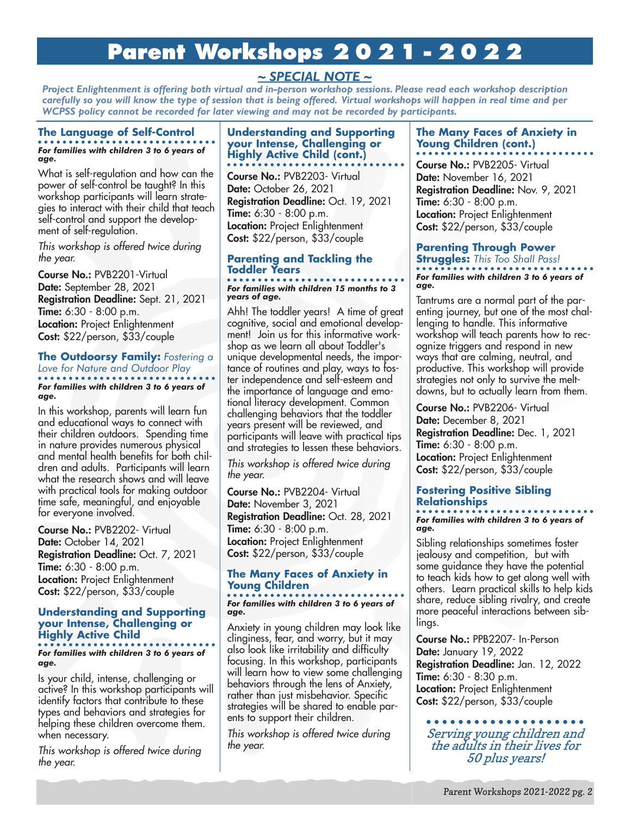## **Parent Workshops 2021-2022**

#### *~ SPECIAL NOTE ~*

*Project Enlightenment is offering both virtual and in-person workshop sessions. Please read each workshop description carefully so you will know the type of session that is being offered. Virtual workshops will happen in real time and per WCPSS policy cannot be recorded for later viewing and may not be recorded by participants.* 

### **The Language of Self-Control**

*For families with children 3 to 6 years of age.*

What is self-regulation and how can the power of self-control be taught? In this workshop participants will learn strategies to interact with their child that teach self-control and support the development of self-regulation.

This workshop is offered twice during the year.

Course No.: PVB2201-Virtual Date: September 28, 2021 Registration Deadline: Sept. 21, 2021 **Time:** 6:30 - 8:00 p.m. **Location: Project Enlightenment** Cost: \$22/person, \$33/couple

#### **The Outdoorsy Family:** *Fostering a Love for Nature and Outdoor Play For families with children 3 to 6 years of age.*

In this workshop, parents will learn fun and educational ways to connect with their children outdoors. Spending time in nature provides numerous physical and mental health benefits for both children and adults. Participants will learn what the research shows and will leave with practical tools for making outdoor time safe, meaningful, and enjoyable for everyone involved.

Course No.: PVB2202- Virtual Date: October 14, 2021 Registration Deadline: Oct. 7, 2021 Time: 6:30 - 8:00 p.m. **Location: Project Enlightenment** Cost: \$22/person, \$33/couple

#### **Understanding and Supporting your Intense, Challenging or Highly Active Child**

*For families with children 3 to 6 years of age.* 

Is your child, intense, challenging or active? In this workshop participants will identify factors that contribute to these types and behaviors and strategies for helping these children overcome them. when necessary.

This workshop is offered twice during the year.

#### **Understanding and Supporting your Intense, Challenging or Highly Active Child (cont.)**

Course No.: PVB2203- Virtual Date: October 26, 2021 Registration Deadline: Oct. 19, 2021 Time: 6:30 - 8:00 p.m. **Location: Project Enlightenment** Cost: \$22/person, \$33/couple

#### **Parenting and Tackling the Toddler Years**

#### *For families with children 15 months to 3 years of age.*

Ahh! The toddler years! A time of great cognitive, social and emotional development! Join us for this informative workshop as we learn all about Toddler's unique developmental needs, the importance of routines and play, ways to foster independence and self-esteem and the importance of language and emotional literacy development. Common challenging behaviors that the toddler years present will be reviewed, and participants will leave with practical tips and strategies to lessen these behaviors.

This workshop is offered twice during the year.

Course No.: PVB2204- Virtual Date: November 3, 2021 Registration Deadline: Oct. 28, 2021 **Time:** 6:30 - 8:00 p.m. **Location:** Project Enlightenment Cost: \$22/person, \$33/couple

#### **The Many Faces of Anxiety in Young Children**

#### *For families with children 3 to 6 years of age.*

Anxiety in young children may look like clinginess, fear, and worry, but it may also look like irritability and difficulty focusing. In this workshop, participants will learn how to view some challenging behaviors through the lens of Anxiety, rather than just misbehavior. Specific strategies will be shared to enable parents to support their children.

This workshop is offered twice during the year.

#### **The Many Faces of Anxiety in Young Children (cont.)**

Course No.: PVB2205- Virtual Date: November 16, 2021 Registration Deadline: Nov. 9, 2021 Time: 6:30 - 8:00 p.m. **Location: Project Enlightenment** Cost: \$22/person, \$33/couple

#### **Parenting Through Power Struggles:** *This Too Shall Pass!*

*For families with children 3 to 6 years of age.*

Tantrums are a normal part of the parenting journey, but one of the most challenging to handle. This informative workshop will teach parents how to recognize triggers and respond in new ways that are calming, neutral, and productive. This workshop will provide strategies not only to survive the meltdowns, but to actually learn from them.

Course No.: PVB2206- Virtual Date: December 8, 2021

Registration Deadline: Dec. 1, 2021 Time: 6:30 - 8:00 p.m. **Location: Project Enlightenment** Cost: \$22/person, \$33/couple

#### **Fostering Positive Sibling Relationships**

#### *For families with children 3 to 6 years of age.*

Sibling relationships sometimes foster jealousy and competition, but with some guidance they have the potential to teach kids how to get along well with others. Learn practical skills to help kids share, reduce sibling rivalry, and create more peaceful interactions between siblings.

Course No.: PPB2207- In-Person Date: January 19, 2022 Registration Deadline: Jan. 12, 2022 **Time:** 6:30 - 8:30 p.m. **Location: Project Enlightenment** Cost: \$22/person, \$33/couple

Serving young children and the adults in their lives for 50 plus years!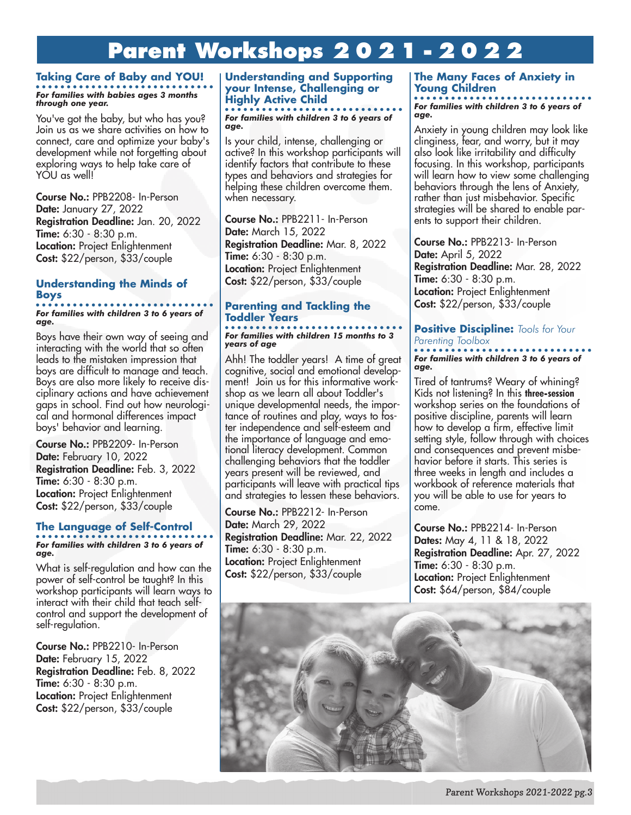## **Parent Workshops 2021-2022**

#### **Taking Care of Baby and YOU!** *For families with babies ages 3 months through one year.*

You've got the baby, but who has you? Join us as we share activities on how to connect, care and optimize your baby's development while not forgetting about exploring ways to help take care of YOU as well!

Course No.: PPB2208- In-Person Date: January 27, 2022 Registration Deadline: Jan. 20, 2022 Time: 6:30 - 8:30 p.m. **Location: Project Enlightenment** Cost: \$22/person, \$33/couple

#### **Understanding the Minds of Boys**

*For families with children 3 to 6 years of age.*

Boys have their own way of seeing and interacting with the world that so often leads to the mistaken impression that boys are difficult to manage and teach. Boys are also more likely to receive disciplinary actions and have achievement gaps in school. Find out how neurological and hormonal differences impact boys' behavior and learning.

Course No.: PPB2209- In-Person Date: February 10, 2022 Registration Deadline: Feb. 3, 2022 Time: 6:30 - 8:30 p.m. **Location: Project Enlightenment** Cost: \$22/person, \$33/couple

## **The Language of Self-Control**

*For families with children 3 to 6 years of age.*

What is self-regulation and how can the power of self-control be taught? In this workshop participants will learn ways to interact with their child that teach selfcontrol and support the development of self-regulation.

Course No.: PPB2210- In-Person Date: February 15, 2022 Registration Deadline: Feb. 8, 2022 Time: 6:30 - 8:30 p.m. **Location: Project Enlightenment** Cost: \$22/person, \$33/couple

#### **Understanding and Supporting your Intense, Challenging or Highly Active Child**

*For families with children 3 to 6 years of age.*

Is your child, intense, challenging or active? In this workshop participants will identify factors that contribute to these types and behaviors and strategies for helping these children overcome them. when necessary.

Course No.: PPB2211- In-Person Date: March 15, 2022 Registration Deadline: Mar. 8, 2022 Time: 6:30 - 8:30 p.m. **Location:** Project Enlightenment Cost: \$22/person, \$33/couple

#### **Parenting and Tackling the Toddler Years**

#### *For families with children 15 months to 3 years of age*

Ahh! The toddler years! A time of great cognitive, social and emotional development! Join us for this informative workshop as we learn all about Toddler's unique developmental needs, the importance of routines and play, ways to foster independence and self-esteem and the importance of language and emotional literacy development. Common challenging behaviors that the toddler years present will be reviewed, and participants will leave with practical tips and strategies to lessen these behaviors.

Course No.: PPB2212- In-Person Date: March 29, 2022 Registration Deadline: Mar. 22, 2022 Time: 6:30 - 8:30 p.m. **Location: Project Enlightenment** Cost: \$22/person, \$33/couple

#### **The Many Faces of Anxiety in Young Children**

*For families with children 3 to 6 years of age.*

Anxiety in young children may look like clinginess, fear, and worry, but it may also look like irritability and difficulty focusing. In this workshop, participants will learn how to view some challenging behaviors through the lens of Anxiety, rather than just misbehavior. Specific strategies will be shared to enable parents to support their children.

Course No.: PPB2213- In-Person Date: April 5, 2022 Registration Deadline: Mar. 28, 2022 Time: 6:30 - 8:30 p.m. **Location: Project Enlightenment** Cost: \$22/person, \$33/couple

#### **Positive Discipline:** *Tools for Your Parenting Toolbox For families with children 3 to 6 years of*

Tired of tantrums? Weary of whining? Kids not listening? In this **three-session**  workshop series on the foundations of positive discipline, parents will learn how to develop a firm, effective limit setting style, follow through with choices and consequences and prevent misbehavior before it starts. This series is three weeks in length and includes a workbook of reference materials that you will be able to use for years to come.

Course No.: PPB2214- In-Person Dates: May 4, 11 & 18, 2022 Registration Deadline: Apr. 27, 2022 Time: 6:30 - 8:30 p.m. Location: Project Enlightenment Cost: \$64/person, \$84/couple



*age.*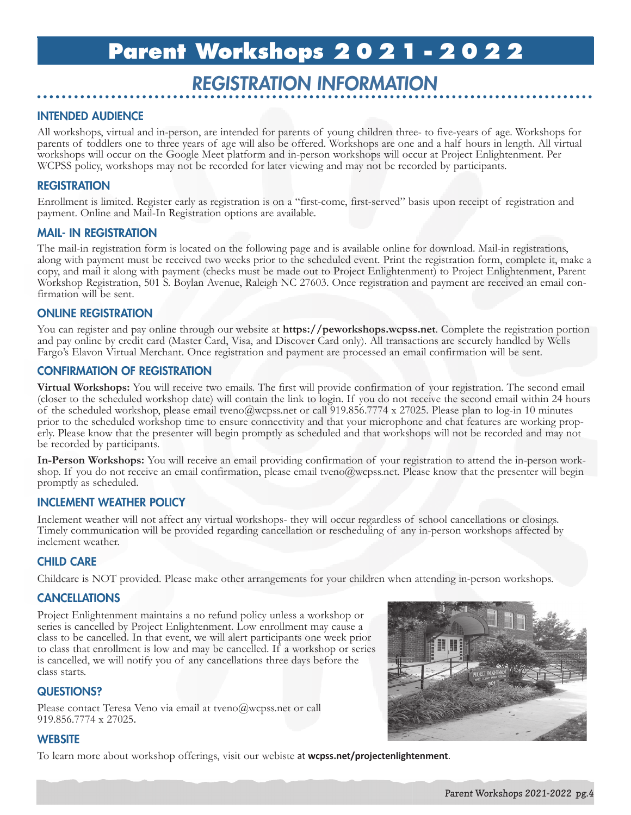## **Parent Workshops 2021-2022**

## REGISTRATION INFORMATION

#### INTENDED AUDIENCE

All workshops, virtual and in-person, are intended for parents of young children three- to five-years of age. Workshops for parents of toddlers one to three years of age will also be offered. Workshops are one and a half hours in length. All virtual workshops will occur on the Google Meet platform and in-person workshops will occur at Project Enlightenment. Per WCPSS policy, workshops may not be recorded for later viewing and may not be recorded by participants.

#### **REGISTRATION**

Enrollment is limited. Register early as registration is on a "first-come, first-served" basis upon receipt of registration and payment. Online and Mail-In Registration options are available.

#### MAIL- IN REGISTRATION

The mail-in registration form is located on the following page and is available online for download. Mail-in registrations, along with payment must be received two weeks prior to the scheduled event. Print the registration form, complete it, make a copy, and mail it along with payment (checks must be made out to Project Enlightenment) to Project Enlightenment, Parent Workshop Registration, 501 S. Boylan Avenue, Raleigh NC 27603. Once registration and payment are received an email con- firmation will be sent.

#### ONLINE REGISTRATION

You can register and pay online through our website at **https://peworkshops.wcpss.net**. Complete the registration portion and pay online by credit card (Master Card, Visa, and Discover Card only). All transactions are securely handled by Wells Fargo's Elavon Virtual Merchant. Once registration and payment are processed an email confirmation will be sent.

#### CONFIRMATION OF REGISTRATION

**Virtual Workshops:** You will receive two emails. The first will provide confirmation of your registration. The second email (closer to the scheduled workshop date) will contain the link to login. If you do not receive the second email within 24 hours of the scheduled workshop, please email tveno@wcpss.net or call 919.856.7774 x 27025. Please plan to log-in 10 minutes prior to the scheduled workshop time to ensure connectivity and that your microphone and chat features are working properly. Please know that the presenter will begin promptly as scheduled and that workshops will not be recorded and may not be recorded by participants.

In-Person Workshops: You will receive an email providing confirmation of your registration to attend the in-person work-<br>shop. If you do not receive an email confirmation, please email tveno@wcpss.net. Please know that the promptly as scheduled.

#### INCLEMENT WEATHER POLICY

Inclement weather will not affect any virtual workshops- they will occur regardless of school cancellations or closings. Timely communication will be provided regarding cancellation or rescheduling of any in-person workshops affected by inclement weather.

#### CHILD CARE

Childcare is NOT provided. Please make other arrangements for your children when attending in-person workshops.

#### **CANCELLATIONS**

Project Enlightenment maintains a no refund policy unless a workshop or series is cancelled by Project Enlightenment. Low enrollment may cause a class to be cancelled. In that event, we will alert participants one week prior to class that enrollment is low and may be cancelled. If a workshop or series is cancelled, we will notify you of any cancellations three days before the class starts.

#### QUESTIONS?

Please contact Teresa Veno via email at tveno@wcpss.net or call 919.856.7774 x 27025.

#### **WEBSITE**

To learn more about workshop offerings, visit our webiste at **wcpss.net/projectenlightenment**.

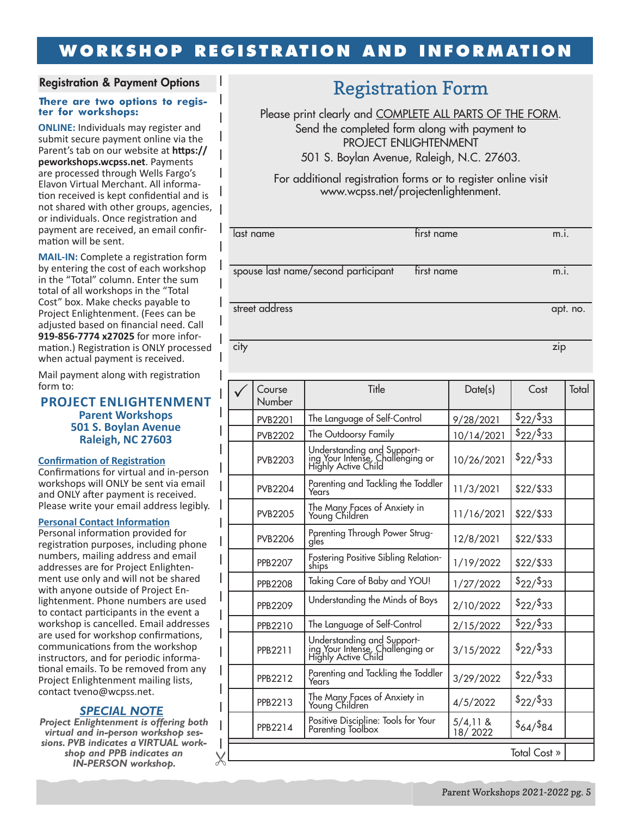### **WORKSHOP REGISTRATION AND INFORMATION**

#### Registration & Payment Options

## **There are two options to regis- ter for workshops:**

 $\mathsf{l}$  $\overline{\phantom{a}}$  $\overline{\phantom{a}}$  $\overline{1}$ T T

T

 $\mathsf{l}$ I

**ONLINE:** Individuals may register and submit secure payment online via the Parent's tab on our website at **https:// peworkshops.wcpss.net**. Payments are processed through Wells Fargo's Elavon Virtual Merchant. All information received is kept confidential and is not shared with other groups, agencies, or individuals. Once registration and payment are received, an email confirmation will be sent.

**MAIL-IN:** Complete a registration form by entering the cost of each workshop in the "Total" column. Enter the sum total of all workshops in the "Total Cost" box. Make checks payable to Project Enlightenment. (Fees can be adjusted based on financial need. Call **919-856-7774 x27025** for more information.) Registration is ONLY processed when actual payment is received.

Mail payment along with registration form to:

#### **PROJECT ENLIGHTENMENT Parent Workshops 501 S. Boylan Avenue Raleigh, NC 27603**

#### **Confirmation of Registration**

Confirmations for virtual and in-person workshops will ONLY be sent via email and ONLY after payment is received. Please write your email address legibly.

#### **Personal Contact Information**

Personal information provided for registration purposes, including phone numbers, mailing address and email addresses are for Project Enlightenment use only and will not be shared with anyone outside of Project Enlightenment. Phone numbers are used to contact participants in the event a workshop is cancelled. Email addresses are used for workshop confirmations, communications from the workshop instructors, and for periodic informational emails. To be removed from any Project Enlightenment mailing lists, contact tveno@wcpss.net.

#### *SPECIAL NOTE*

*Project Enlightenment is offering both virtual and in-person workshop sessions. PVB indicates a VIRTUAL workshop and PPB indicates an IN-PERSON workshop.* 

## Registration Form

Please print clearly and COMPLETE ALL PARTS OF THE FORM. Send the completed form along with payment to PROJECT ENLIGHTENMENT 501 S. Boylan Avenue, Raleigh, N.C. 27603.

For additional registration forms or to register online visit www.wcpss.net/projectenlightenment.

| last name                           | first name | m.i.     |
|-------------------------------------|------------|----------|
|                                     |            |          |
|                                     |            |          |
|                                     |            |          |
| spouse last name/second participant | first name | m.i.     |
|                                     |            |          |
|                                     |            |          |
|                                     |            |          |
| street address                      |            | apt. no. |
|                                     |            |          |
|                                     |            |          |
|                                     |            |          |
| city                                |            | zip      |
|                                     |            |          |
|                                     |            |          |

|              | Course<br>Number | Title                                                                                 | Date(s)               | Cost       | Total |
|--------------|------------------|---------------------------------------------------------------------------------------|-----------------------|------------|-------|
|              | <b>PVB2201</b>   | The Language of Self-Control                                                          | 9/28/2021             | \$22/\$33  |       |
|              | <b>PVB2202</b>   | The Outdoorsy Family                                                                  | 10/14/2021            | \$22/\$33  |       |
|              | <b>PVB2203</b>   | Understanding and Support-<br>ing Your Intense, Challenging or<br>Highly Active Child | 10/26/2021            | \$22/\$33  |       |
|              | PVB2204          | Parenting and Tackling the Toddler<br>Years                                           | 11/3/2021             | \$22/\$33  |       |
|              | <b>PVB2205</b>   | The Many Faces of Anxiety in<br>Young Children                                        | 11/16/2021            | \$22/\$33  |       |
|              | <b>PVB2206</b>   | Parenting Through Power Strug-<br>gles                                                | 12/8/2021             | \$22/ \$33 |       |
|              | <b>PPB2207</b>   | Fostering Positive Sibling Relation-<br>ships                                         | 1/19/2022             | \$22/\$33  |       |
|              | <b>PPB2208</b>   | Taking Care of Baby and YOU!                                                          | 1/27/2022             | \$22/\$33  |       |
|              | <b>PPB2209</b>   | Understanding the Minds of Boys                                                       | 2/10/2022             | \$22/\$33  |       |
|              | PPB2210          | The Language of Self-Control                                                          | 2/15/2022             | \$22/\$33  |       |
|              | PPB2211          | Understanding and Support-<br>ing Your Intense, Challenging or<br>Highly Active Child | 3/15/2022             | \$22/\$33  |       |
|              | PPB2212          | Parenting and Tackling the Toddler<br>Years                                           | 3/29/2022             | \$22/\$33  |       |
|              | PPB2213          | The Many Faces of Anxiety in<br>Young Children                                        | 4/5/2022              | \$22/\$33  |       |
|              | PPB2214          | Positive Discipline: Tools for Your<br>Parenting Toolbox                              | $5/4,11$ &<br>18/2022 | \$64/\$84  |       |
| Total Cost » |                  |                                                                                       |                       |            |       |